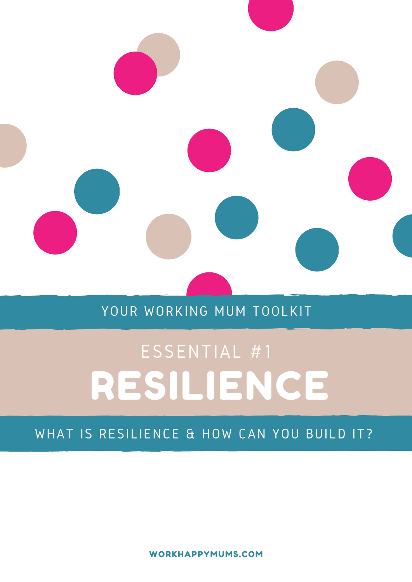

## YOUR WORKING MUM TOOLKIT

# TOOLKIT RESILIENCE ESSENTIAL #1

### WHAT IS RESILIENCE & HOW CAN YOU BUILD IT?

WORKHAPPYMUMS.COM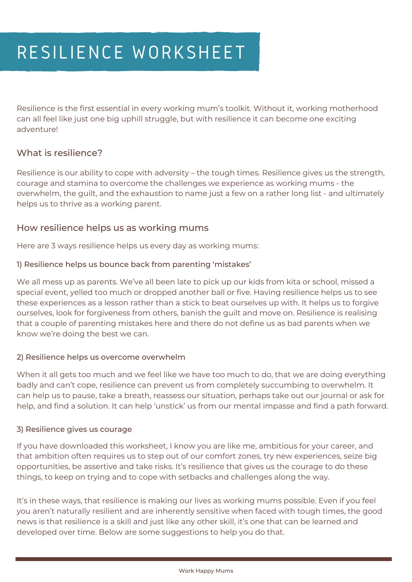Resilience is the first essential in every working mum's toolkit. Without it, working motherhood can all feel like just one big uphill struggle, but with resilience it can become one exciting adventure!

#### What is resilience?

Resilience is our ability to cope with adversity – the tough times. Resilience gives us the strength, courage and stamina to overcome the challenges we experience as working mums - the overwhelm, the guilt, and the exhaustion to name just a few on a rather long list - and ultimately helps us to thrive as a working parent.

#### How resilience helps us as working mums

Here are 3 ways resilience helps us every day as working mums:

#### 1) Resilience helps us bounce back from parenting 'mistakes'

We all mess up as parents. We've all been late to pick up our kids from kita or school, missed a special event, yelled too much or dropped another ball or five. Having resilience helps us to see these experiences as a lesson rather than a stick to beat ourselves up with. It helps us to forgive ourselves, look for forgiveness from others, banish the guilt and move on. Resilience is realising that a couple of parenting mistakes here and there do not define us as bad parents when we know we're doing the best we can.

#### 2) Resilience helps us overcome overwhelm

When it all gets too much and we feel like we have too much to do, that we are doing everything badly and can't cope, resilience can prevent us from completely succumbing to overwhelm. It can help us to pause, take a breath, reassess our situation, perhaps take out our journal or ask for help, and find a solution. It can help 'unstick' us from our mental impasse and find a path forward.

#### 3) Resilience gives us courage

If you have downloaded this worksheet, I know you are like me, ambitious for your career, and that ambition often requires us to step out of our comfort zones, try new experiences, seize big opportunities, be assertive and take risks. It's resilience that gives us the courage to do these things, to keep on trying and to cope with setbacks and challenges along the way.

It's in these ways, that resilience is making our lives as working mums possible. Even if you feel you aren't naturally resilient and are inherently sensitive when faced with tough times, the good news is that resilience is a skill and just like any other skill, it's one that can be learned and developed over time. Below are some suggestions to help you do that.